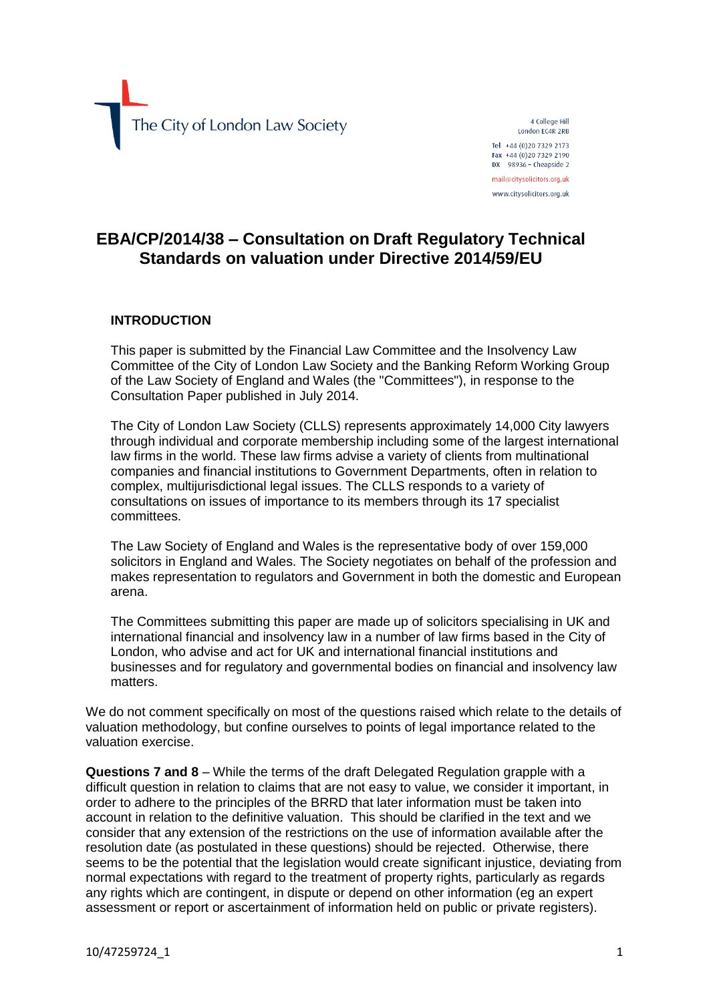The City of London Law Society

4 College Hill London EC4R 2RB Tel +44 (0) 20 7329 2173 Fax +44 (0) 20 7329 2190 DX  $98936 -$  Cheapside 2 mail@citysolicitors.org.uk www.citysolicitors.org.uk

## **EBA/CP/2014/38 – Consultation on Draft Regulatory Technical Standards on valuation under Directive 2014/59/EU**

## **INTRODUCTION**

This paper is submitted by the Financial Law Committee and the Insolvency Law Committee of the City of London Law Society and the Banking Reform Working Group of the Law Society of England and Wales (the "Committees"), in response to the Consultation Paper published in July 2014.

The City of London Law Society (CLLS) represents approximately 14,000 City lawyers through individual and corporate membership including some of the largest international law firms in the world. These law firms advise a variety of clients from multinational companies and financial institutions to Government Departments, often in relation to complex, multijurisdictional legal issues. The CLLS responds to a variety of consultations on issues of importance to its members through its 17 specialist committees.

The Law Society of England and Wales is the representative body of over 159,000 solicitors in England and Wales. The Society negotiates on behalf of the profession and makes representation to regulators and Government in both the domestic and European arena.

The Committees submitting this paper are made up of solicitors specialising in UK and international financial and insolvency law in a number of law firms based in the City of London, who advise and act for UK and international financial institutions and businesses and for regulatory and governmental bodies on financial and insolvency law matters.

We do not comment specifically on most of the questions raised which relate to the details of valuation methodology, but confine ourselves to points of legal importance related to the valuation exercise.

**Questions 7 and 8** – While the terms of the draft Delegated Regulation grapple with a difficult question in relation to claims that are not easy to value, we consider it important, in order to adhere to the principles of the BRRD that later information must be taken into account in relation to the definitive valuation. This should be clarified in the text and we consider that any extension of the restrictions on the use of information available after the resolution date (as postulated in these questions) should be rejected. Otherwise, there seems to be the potential that the legislation would create significant injustice, deviating from normal expectations with regard to the treatment of property rights, particularly as regards any rights which are contingent, in dispute or depend on other information (eg an expert assessment or report or ascertainment of information held on public or private registers).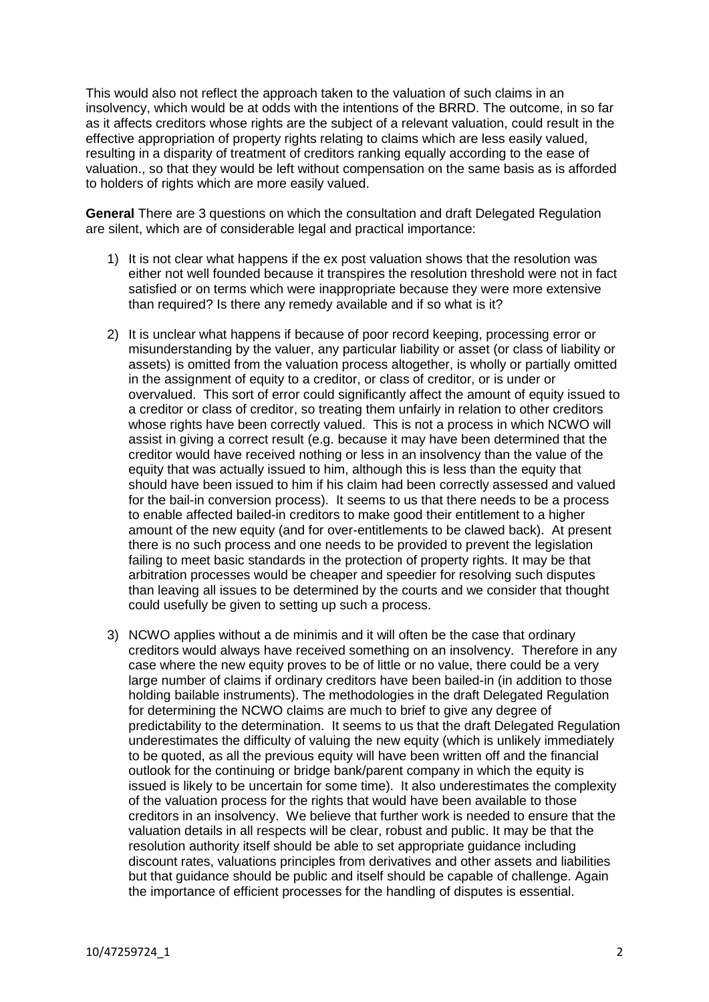This would also not reflect the approach taken to the valuation of such claims in an insolvency, which would be at odds with the intentions of the BRRD. The outcome, in so far as it affects creditors whose rights are the subject of a relevant valuation, could result in the effective appropriation of property rights relating to claims which are less easily valued, resulting in a disparity of treatment of creditors ranking equally according to the ease of valuation., so that they would be left without compensation on the same basis as is afforded to holders of rights which are more easily valued.

**General** There are 3 questions on which the consultation and draft Delegated Regulation are silent, which are of considerable legal and practical importance:

- 1) It is not clear what happens if the ex post valuation shows that the resolution was either not well founded because it transpires the resolution threshold were not in fact satisfied or on terms which were inappropriate because they were more extensive than required? Is there any remedy available and if so what is it?
- 2) It is unclear what happens if because of poor record keeping, processing error or misunderstanding by the valuer, any particular liability or asset (or class of liability or assets) is omitted from the valuation process altogether, is wholly or partially omitted in the assignment of equity to a creditor, or class of creditor, or is under or overvalued. This sort of error could significantly affect the amount of equity issued to a creditor or class of creditor, so treating them unfairly in relation to other creditors whose rights have been correctly valued. This is not a process in which NCWO will assist in giving a correct result (e.g. because it may have been determined that the creditor would have received nothing or less in an insolvency than the value of the equity that was actually issued to him, although this is less than the equity that should have been issued to him if his claim had been correctly assessed and valued for the bail-in conversion process). It seems to us that there needs to be a process to enable affected bailed-in creditors to make good their entitlement to a higher amount of the new equity (and for over-entitlements to be clawed back). At present there is no such process and one needs to be provided to prevent the legislation failing to meet basic standards in the protection of property rights. It may be that arbitration processes would be cheaper and speedier for resolving such disputes than leaving all issues to be determined by the courts and we consider that thought could usefully be given to setting up such a process.
- 3) NCWO applies without a de minimis and it will often be the case that ordinary creditors would always have received something on an insolvency. Therefore in any case where the new equity proves to be of little or no value, there could be a very large number of claims if ordinary creditors have been bailed-in (in addition to those holding bailable instruments). The methodologies in the draft Delegated Regulation for determining the NCWO claims are much to brief to give any degree of predictability to the determination. It seems to us that the draft Delegated Regulation underestimates the difficulty of valuing the new equity (which is unlikely immediately to be quoted, as all the previous equity will have been written off and the financial outlook for the continuing or bridge bank/parent company in which the equity is issued is likely to be uncertain for some time). It also underestimates the complexity of the valuation process for the rights that would have been available to those creditors in an insolvency. We believe that further work is needed to ensure that the valuation details in all respects will be clear, robust and public. It may be that the resolution authority itself should be able to set appropriate guidance including discount rates, valuations principles from derivatives and other assets and liabilities but that guidance should be public and itself should be capable of challenge. Again the importance of efficient processes for the handling of disputes is essential.